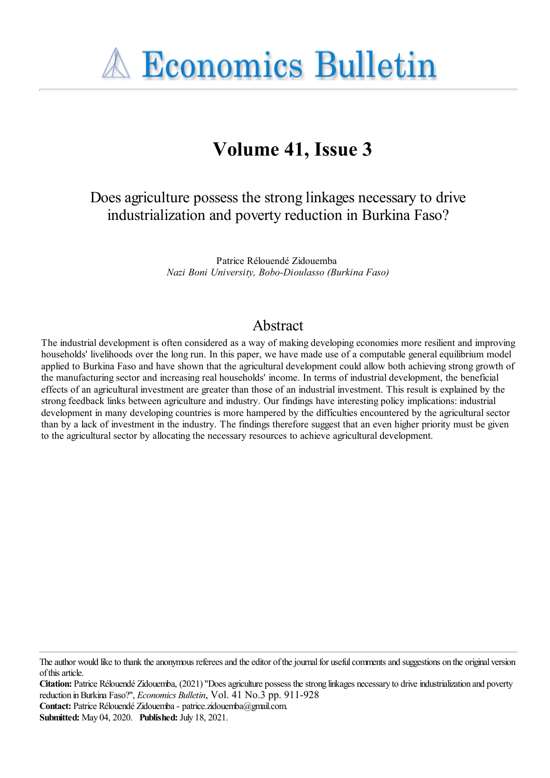

# **Volume 41, Issue 3**

## Does agriculture possess the strong linkages necessary to drive industrialization and poverty reduction in Burkina Faso?

Patrice Rélouendé Zidouemba *Nazi Boni University, Bobo-Dioulasso (Burkina Faso)*

## Abstract

The industrial development is often considered as a way of making developing economies more resilient and improving households' livelihoods over the long run. In this paper, we have made use of a computable general equilibrium model applied to Burkina Faso and have shown that the agricultural development could allow both achieving strong growth of the manufacturing sector and increasing real households' income. In terms of industrial development, the beneficial effects of an agricultural investment are greater than those of an industrial investment. This result is explained by the strong feedback links between agriculture and industry. Our findings have interesting policy implications: industrial development in many developing countries is more hampered by the difficulties encountered by the agricultural sector than by a lack of investment in the industry. The findings therefore suggest that an even higher priority must be given to the agricultural sector by allocating the necessary resources to achieve agricultural development.

**Citation:** Patrice Rélouendé Zidouemba, (2021) "Does agriculture possess the strong linkages necessary to drive industrialization and poverty reduction inBurkina Faso?'', *Economics Bulletin*, Vol. 41 No.3 pp. 911-928

**Contact:** Patrice Rélouendé Zidouemba- patrice.zidouemba@gmail.com.

The author would like to thank the anonymous referees and the editor of the journal for useful comments and suggestions on the original version of this article.

**Submitted:** May 04, 2020. **Published:** July 18, 2021.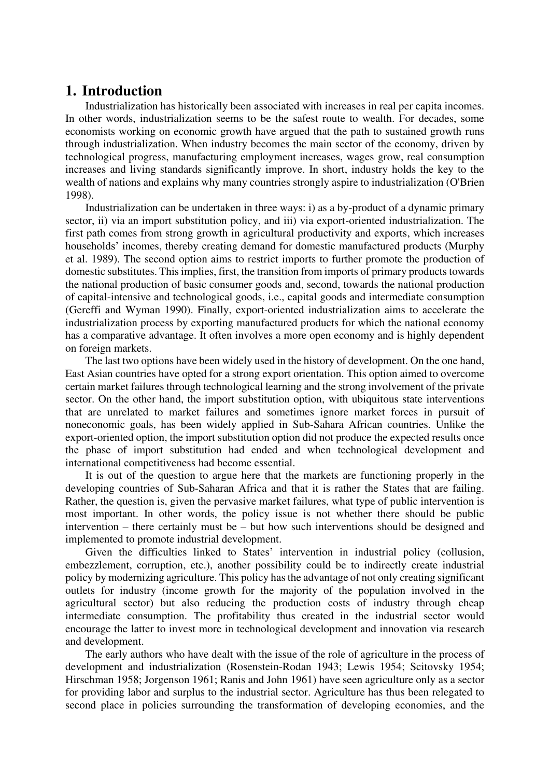### **1. Introduction**

Industrialization has historically been associated with increases in real per capita incomes. In other words, industrialization seems to be the safest route to wealth. For decades, some economists working on economic growth have argued that the path to sustained growth runs through industrialization. When industry becomes the main sector of the economy, driven by technological progress, manufacturing employment increases, wages grow, real consumption increases and living standards significantly improve. In short, industry holds the key to the wealth of nations and explains why many countries strongly aspire to industrialization (O'Brien 1998).

Industrialization can be undertaken in three ways: i) as a by-product of a dynamic primary sector, ii) via an import substitution policy, and iii) via export-oriented industrialization. The first path comes from strong growth in agricultural productivity and exports, which increases households' incomes, thereby creating demand for domestic manufactured products (Murphy et al. 1989). The second option aims to restrict imports to further promote the production of domestic substitutes. This implies, first, the transition from imports of primary products towards the national production of basic consumer goods and, second, towards the national production of capital-intensive and technological goods, i.e., capital goods and intermediate consumption (Gereffi and Wyman 1990). Finally, export-oriented industrialization aims to accelerate the industrialization process by exporting manufactured products for which the national economy has a comparative advantage. It often involves a more open economy and is highly dependent on foreign markets.

The last two options have been widely used in the history of development. On the one hand, East Asian countries have opted for a strong export orientation. This option aimed to overcome certain market failures through technological learning and the strong involvement of the private sector. On the other hand, the import substitution option, with ubiquitous state interventions that are unrelated to market failures and sometimes ignore market forces in pursuit of noneconomic goals, has been widely applied in Sub-Sahara African countries. Unlike the export-oriented option, the import substitution option did not produce the expected results once the phase of import substitution had ended and when technological development and international competitiveness had become essential.

It is out of the question to argue here that the markets are functioning properly in the developing countries of Sub-Saharan Africa and that it is rather the States that are failing. Rather, the question is, given the pervasive market failures, what type of public intervention is most important. In other words, the policy issue is not whether there should be public intervention – there certainly must be – but how such interventions should be designed and implemented to promote industrial development.

Given the difficulties linked to States' intervention in industrial policy (collusion, embezzlement, corruption, etc.), another possibility could be to indirectly create industrial policy by modernizing agriculture. This policy has the advantage of not only creating significant outlets for industry (income growth for the majority of the population involved in the agricultural sector) but also reducing the production costs of industry through cheap intermediate consumption. The profitability thus created in the industrial sector would encourage the latter to invest more in technological development and innovation via research and development.

The early authors who have dealt with the issue of the role of agriculture in the process of development and industrialization (Rosenstein-Rodan 1943; Lewis 1954; Scitovsky 1954; Hirschman 1958; Jorgenson 1961; Ranis and John 1961) have seen agriculture only as a sector for providing labor and surplus to the industrial sector. Agriculture has thus been relegated to second place in policies surrounding the transformation of developing economies, and the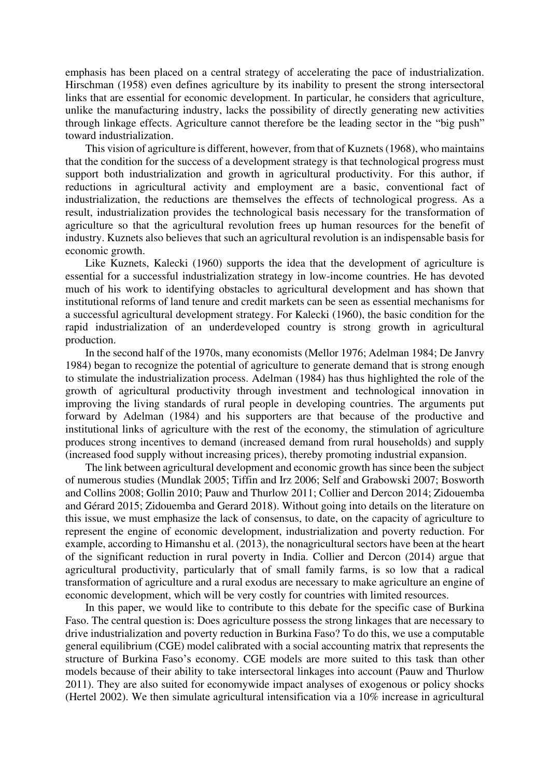emphasis has been placed on a central strategy of accelerating the pace of industrialization. Hirschman (1958) even defines agriculture by its inability to present the strong intersectoral links that are essential for economic development. In particular, he considers that agriculture, unlike the manufacturing industry, lacks the possibility of directly generating new activities through linkage effects. Agriculture cannot therefore be the leading sector in the "big push" toward industrialization.

This vision of agriculture is different, however, from that of Kuznets (1968), who maintains that the condition for the success of a development strategy is that technological progress must support both industrialization and growth in agricultural productivity. For this author, if reductions in agricultural activity and employment are a basic, conventional fact of industrialization, the reductions are themselves the effects of technological progress. As a result, industrialization provides the technological basis necessary for the transformation of agriculture so that the agricultural revolution frees up human resources for the benefit of industry. Kuznets also believes that such an agricultural revolution is an indispensable basis for economic growth.

Like Kuznets, Kalecki (1960) supports the idea that the development of agriculture is essential for a successful industrialization strategy in low-income countries. He has devoted much of his work to identifying obstacles to agricultural development and has shown that institutional reforms of land tenure and credit markets can be seen as essential mechanisms for a successful agricultural development strategy. For Kalecki (1960), the basic condition for the rapid industrialization of an underdeveloped country is strong growth in agricultural production.

In the second half of the 1970s, many economists (Mellor 1976; Adelman 1984; De Janvry 1984) began to recognize the potential of agriculture to generate demand that is strong enough to stimulate the industrialization process. Adelman (1984) has thus highlighted the role of the growth of agricultural productivity through investment and technological innovation in improving the living standards of rural people in developing countries. The arguments put forward by Adelman (1984) and his supporters are that because of the productive and institutional links of agriculture with the rest of the economy, the stimulation of agriculture produces strong incentives to demand (increased demand from rural households) and supply (increased food supply without increasing prices), thereby promoting industrial expansion.

The link between agricultural development and economic growth has since been the subject of numerous studies (Mundlak 2005; Tiffin and Irz 2006; Self and Grabowski 2007; Bosworth and Collins 2008; Gollin 2010; Pauw and Thurlow 2011; Collier and Dercon 2014; Zidouemba and Gérard 2015; Zidouemba and Gerard 2018). Without going into details on the literature on this issue, we must emphasize the lack of consensus, to date, on the capacity of agriculture to represent the engine of economic development, industrialization and poverty reduction. For example, according to Himanshu et al. (2013), the nonagricultural sectors have been at the heart of the significant reduction in rural poverty in India. Collier and Dercon (2014) argue that agricultural productivity, particularly that of small family farms, is so low that a radical transformation of agriculture and a rural exodus are necessary to make agriculture an engine of economic development, which will be very costly for countries with limited resources.

In this paper, we would like to contribute to this debate for the specific case of Burkina Faso. The central question is: Does agriculture possess the strong linkages that are necessary to drive industrialization and poverty reduction in Burkina Faso? To do this, we use a computable general equilibrium (CGE) model calibrated with a social accounting matrix that represents the structure of Burkina Faso's economy. CGE models are more suited to this task than other models because of their ability to take intersectoral linkages into account (Pauw and Thurlow 2011). They are also suited for economywide impact analyses of exogenous or policy shocks (Hertel 2002). We then simulate agricultural intensification via a 10% increase in agricultural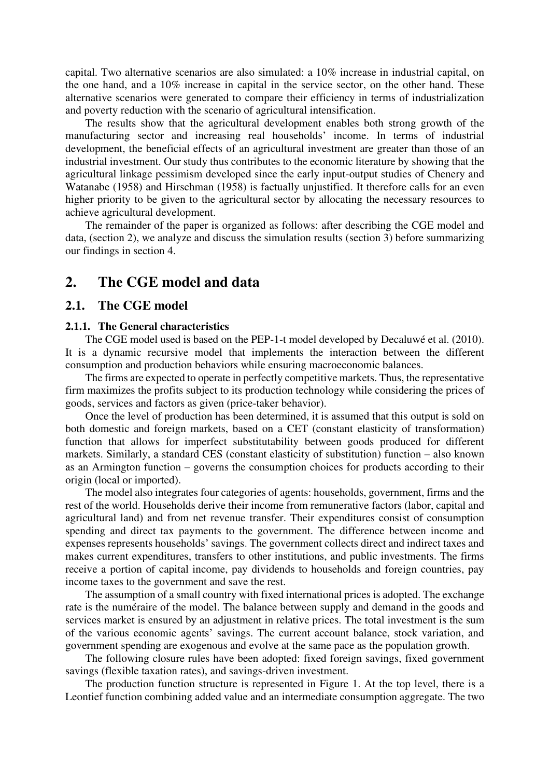capital. Two alternative scenarios are also simulated: a 10% increase in industrial capital, on the one hand, and a 10% increase in capital in the service sector, on the other hand. These alternative scenarios were generated to compare their efficiency in terms of industrialization and poverty reduction with the scenario of agricultural intensification.

The results show that the agricultural development enables both strong growth of the manufacturing sector and increasing real households' income. In terms of industrial development, the beneficial effects of an agricultural investment are greater than those of an industrial investment. Our study thus contributes to the economic literature by showing that the agricultural linkage pessimism developed since the early input-output studies of Chenery and Watanabe (1958) and Hirschman (1958) is factually unjustified. It therefore calls for an even higher priority to be given to the agricultural sector by allocating the necessary resources to achieve agricultural development.

The remainder of the paper is organized as follows: after describing the CGE model and data, (section 2), we analyze and discuss the simulation results (section 3) before summarizing our findings in section 4.

### **2. The CGE model and data**

#### **2.1. The CGE model**

#### **2.1.1. The General characteristics**

The CGE model used is based on the PEP-1-t model developed by Decaluwé et al. (2010). It is a dynamic recursive model that implements the interaction between the different consumption and production behaviors while ensuring macroeconomic balances.

The firms are expected to operate in perfectly competitive markets. Thus, the representative firm maximizes the profits subject to its production technology while considering the prices of goods, services and factors as given (price-taker behavior).

Once the level of production has been determined, it is assumed that this output is sold on both domestic and foreign markets, based on a CET (constant elasticity of transformation) function that allows for imperfect substitutability between goods produced for different markets. Similarly, a standard CES (constant elasticity of substitution) function – also known as an Armington function – governs the consumption choices for products according to their origin (local or imported).

The model also integrates four categories of agents: households, government, firms and the rest of the world. Households derive their income from remunerative factors (labor, capital and agricultural land) and from net revenue transfer. Their expenditures consist of consumption spending and direct tax payments to the government. The difference between income and expenses represents households' savings. The government collects direct and indirect taxes and makes current expenditures, transfers to other institutions, and public investments. The firms receive a portion of capital income, pay dividends to households and foreign countries, pay income taxes to the government and save the rest.

The assumption of a small country with fixed international prices is adopted. The exchange rate is the numéraire of the model. The balance between supply and demand in the goods and services market is ensured by an adjustment in relative prices. The total investment is the sum of the various economic agents' savings. The current account balance, stock variation, and government spending are exogenous and evolve at the same pace as the population growth.

The following closure rules have been adopted: fixed foreign savings, fixed government savings (flexible taxation rates), and savings-driven investment.

The production function structure is represented in Figure 1. At the top level, there is a Leontief function combining added value and an intermediate consumption aggregate. The two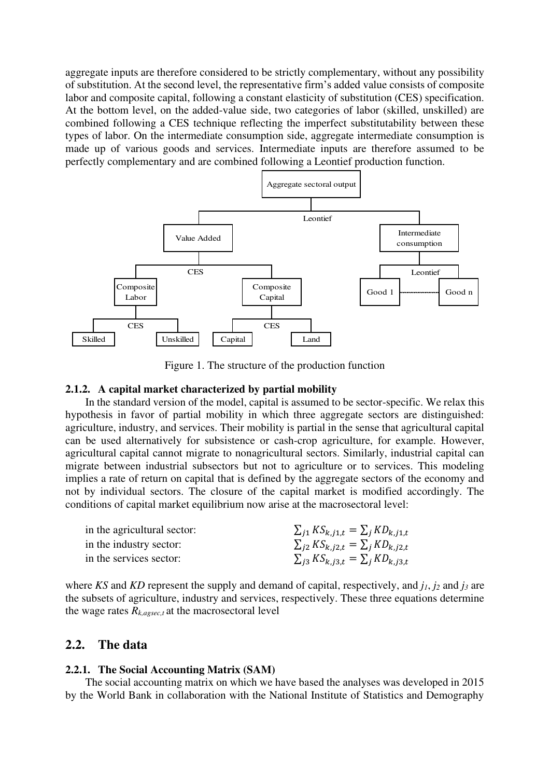aggregate inputs are therefore considered to be strictly complementary, without any possibility of substitution. At the second level, the representative firm's added value consists of composite labor and composite capital, following a constant elasticity of substitution (CES) specification. At the bottom level, on the added-value side, two categories of labor (skilled, unskilled) are combined following a CES technique reflecting the imperfect substitutability between these types of labor. On the intermediate consumption side, aggregate intermediate consumption is made up of various goods and services. Intermediate inputs are therefore assumed to be perfectly complementary and are combined following a Leontief production function.



Figure 1. The structure of the production function

#### **2.1.2. A capital market characterized by partial mobility**

In the standard version of the model, capital is assumed to be sector-specific. We relax this hypothesis in favor of partial mobility in which three aggregate sectors are distinguished: agriculture, industry, and services. Their mobility is partial in the sense that agricultural capital can be used alternatively for subsistence or cash-crop agriculture, for example. However, agricultural capital cannot migrate to nonagricultural sectors. Similarly, industrial capital can migrate between industrial subsectors but not to agriculture or to services. This modeling implies a rate of return on capital that is defined by the aggregate sectors of the economy and not by individual sectors. The closure of the capital market is modified accordingly. The conditions of capital market equilibrium now arise at the macrosectoral level:

| in the agricultural sector: | $\sum_{i=1} K S_{k,i1,t} = \sum_{i} K D_{k,i1,t}$ |
|-----------------------------|---------------------------------------------------|
| in the industry sector:     | $\sum_{i=1} K S_{k,i2,t} = \sum_{i} K D_{k,i2,t}$ |
| in the services sector:     | $\sum_{i=3} K S_{k,i3,t} = \sum_{i} K D_{k,i3,t}$ |

where *KS* and *KD* represent the supply and demand of capital, respectively, and *j1*, *j2* and *j3* are the subsets of agriculture, industry and services, respectively. These three equations determine the wage rates  $R_{k, \text{assoc},t}$  at the macrosectoral level

#### **2.2. The data**

#### **2.2.1. The Social Accounting Matrix (SAM)**

The social accounting matrix on which we have based the analyses was developed in 2015 by the World Bank in collaboration with the National Institute of Statistics and Demography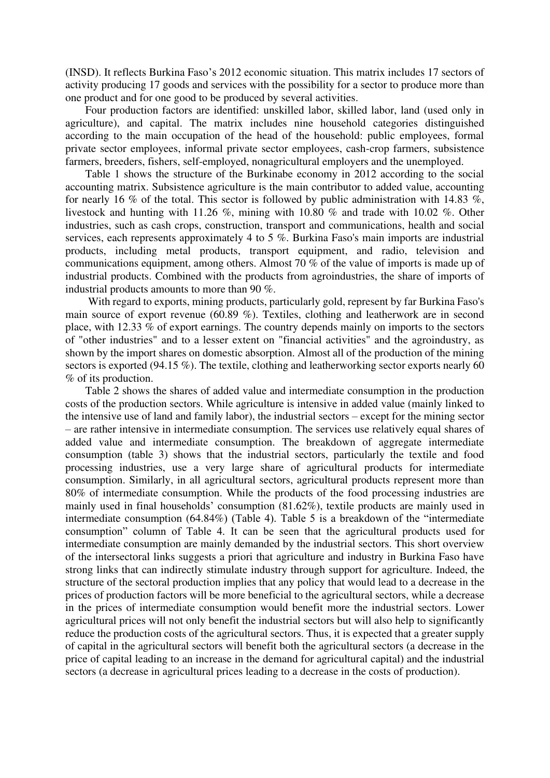(INSD). It reflects Burkina Faso's 2012 economic situation. This matrix includes 17 sectors of activity producing 17 goods and services with the possibility for a sector to produce more than one product and for one good to be produced by several activities.

Four production factors are identified: unskilled labor, skilled labor, land (used only in agriculture), and capital. The matrix includes nine household categories distinguished according to the main occupation of the head of the household: public employees, formal private sector employees, informal private sector employees, cash-crop farmers, subsistence farmers, breeders, fishers, self-employed, nonagricultural employers and the unemployed.

Table 1 shows the structure of the Burkinabe economy in 2012 according to the social accounting matrix. Subsistence agriculture is the main contributor to added value, accounting for nearly 16 % of the total. This sector is followed by public administration with 14.83 %, livestock and hunting with 11.26 %, mining with 10.80 % and trade with 10.02 %. Other industries, such as cash crops, construction, transport and communications, health and social services, each represents approximately 4 to 5 %. Burkina Faso's main imports are industrial products, including metal products, transport equipment, and radio, television and communications equipment, among others. Almost 70 % of the value of imports is made up of industrial products. Combined with the products from agroindustries, the share of imports of industrial products amounts to more than 90 %.

With regard to exports, mining products, particularly gold, represent by far Burkina Faso's main source of export revenue (60.89 %). Textiles, clothing and leatherwork are in second place, with 12.33 % of export earnings. The country depends mainly on imports to the sectors of "other industries" and to a lesser extent on "financial activities" and the agroindustry, as shown by the import shares on domestic absorption. Almost all of the production of the mining sectors is exported (94.15 %). The textile, clothing and leatherworking sector exports nearly 60 % of its production.

Table 2 shows the shares of added value and intermediate consumption in the production costs of the production sectors. While agriculture is intensive in added value (mainly linked to the intensive use of land and family labor), the industrial sectors – except for the mining sector – are rather intensive in intermediate consumption. The services use relatively equal shares of added value and intermediate consumption. The breakdown of aggregate intermediate consumption (table 3) shows that the industrial sectors, particularly the textile and food processing industries, use a very large share of agricultural products for intermediate consumption. Similarly, in all agricultural sectors, agricultural products represent more than 80% of intermediate consumption. While the products of the food processing industries are mainly used in final households' consumption (81.62%), textile products are mainly used in intermediate consumption (64.84%) (Table 4). Table 5 is a breakdown of the "intermediate consumption" column of Table 4. It can be seen that the agricultural products used for intermediate consumption are mainly demanded by the industrial sectors. This short overview of the intersectoral links suggests a priori that agriculture and industry in Burkina Faso have strong links that can indirectly stimulate industry through support for agriculture. Indeed, the structure of the sectoral production implies that any policy that would lead to a decrease in the prices of production factors will be more beneficial to the agricultural sectors, while a decrease in the prices of intermediate consumption would benefit more the industrial sectors. Lower agricultural prices will not only benefit the industrial sectors but will also help to significantly reduce the production costs of the agricultural sectors. Thus, it is expected that a greater supply of capital in the agricultural sectors will benefit both the agricultural sectors (a decrease in the price of capital leading to an increase in the demand for agricultural capital) and the industrial sectors (a decrease in agricultural prices leading to a decrease in the costs of production).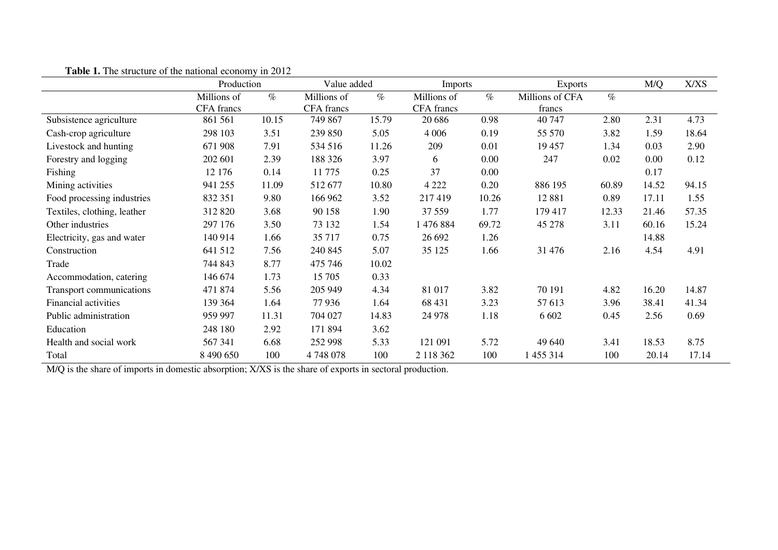|                             | Production  |       | Value added       |       | <b>Imports</b> |       | <b>Exports</b>  |       | M/Q   | X/XS  |
|-----------------------------|-------------|-------|-------------------|-------|----------------|-------|-----------------|-------|-------|-------|
|                             | Millions of | $\%$  | Millions of       | $\%$  | Millions of    | $\%$  | Millions of CFA | $\%$  |       |       |
|                             | CFA francs  |       | <b>CFA</b> francs |       | CFA francs     |       | francs          |       |       |       |
| Subsistence agriculture     | 861 561     | 10.15 | 749 867           | 15.79 | 20 68 6        | 0.98  | 40 747          | 2.80  | 2.31  | 4.73  |
| Cash-crop agriculture       | 298 103     | 3.51  | 239 850           | 5.05  | 4 0 0 6        | 0.19  | 55 570          | 3.82  | 1.59  | 18.64 |
| Livestock and hunting       | 671 908     | 7.91  | 534 516           | 11.26 | 209            | 0.01  | 19 457          | 1.34  | 0.03  | 2.90  |
| Forestry and logging        | 202 601     | 2.39  | 188 326           | 3.97  | 6              | 0.00  | 247             | 0.02  | 0.00  | 0.12  |
| Fishing                     | 12 176      | 0.14  | 11 775            | 0.25  | 37             | 0.00  |                 |       | 0.17  |       |
| Mining activities           | 941 255     | 11.09 | 512 677           | 10.80 | 4 2 2 2        | 0.20  | 886 195         | 60.89 | 14.52 | 94.15 |
| Food processing industries  | 832 351     | 9.80  | 166 962           | 3.52  | 217419         | 10.26 | 12 881          | 0.89  | 17.11 | 1.55  |
| Textiles, clothing, leather | 312 820     | 3.68  | 90 158            | 1.90  | 37 559         | 1.77  | 179 417         | 12.33 | 21.46 | 57.35 |
| Other industries            | 297 176     | 3.50  | 73 132            | 1.54  | 1 476 884      | 69.72 | 45 278          | 3.11  | 60.16 | 15.24 |
| Electricity, gas and water  | 140 914     | 1.66  | 35 717            | 0.75  | 26 692         | 1.26  |                 |       | 14.88 |       |
| Construction                | 641 512     | 7.56  | 240 845           | 5.07  | 35 1 25        | 1.66  | 31 476          | 2.16  | 4.54  | 4.91  |
| Trade                       | 744 843     | 8.77  | 475 746           | 10.02 |                |       |                 |       |       |       |
| Accommodation, catering     | 146 674     | 1.73  | 15 705            | 0.33  |                |       |                 |       |       |       |
| Transport communications    | 471 874     | 5.56  | 205 949           | 4.34  | 81 017         | 3.82  | 70 191          | 4.82  | 16.20 | 14.87 |
| Financial activities        | 139 364     | 1.64  | 77 936            | 1.64  | 68 431         | 3.23  | 57 613          | 3.96  | 38.41 | 41.34 |
| Public administration       | 959 997     | 11.31 | 704 027           | 14.83 | 24 978         | 1.18  | 6 6 0 2         | 0.45  | 2.56  | 0.69  |
| Education                   | 248 180     | 2.92  | 171 894           | 3.62  |                |       |                 |       |       |       |
| Health and social work      | 567 341     | 6.68  | 252 998           | 5.33  | 121 091        | 5.72  | 49 640          | 3.41  | 18.53 | 8.75  |
| Total                       | 8 490 650   | 100   | 4748078           | 100   | 2 118 362      | 100   | 1 455 314       | 100   | 20.14 | 17.14 |

**Table 1.** The structure of the national economy in 2012

M/Q is the share of imports in domestic absorption; X/XS is the share of exports in sectoral production.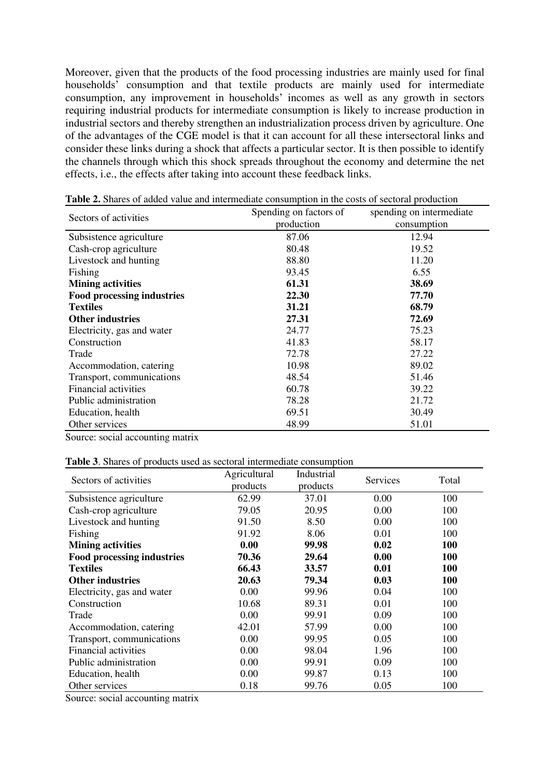Moreover, given that the products of the food processing industries are mainly used for final households' consumption and that textile products are mainly used for intermediate consumption, any improvement in households' incomes as well as any growth in sectors requiring industrial products for intermediate consumption is likely to increase production in industrial sectors and thereby strengthen an industrialization process driven by agriculture. One of the advantages of the CGE model is that it can account for all these intersectoral links and consider these links during a shock that affects a particular sector. It is then possible to identify the channels through which this shock spreads throughout the economy and determine the net effects, i.e., the effects after taking into account these feedback links.

| Sectors of activities             | Spending on factors of | spending on intermediate |
|-----------------------------------|------------------------|--------------------------|
|                                   | production             | consumption              |
| Subsistence agriculture           | 87.06                  | 12.94                    |
| Cash-crop agriculture             | 80.48                  | 19.52                    |
| Livestock and hunting             | 88.80                  | 11.20                    |
| Fishing                           | 93.45                  | 6.55                     |
| <b>Mining activities</b>          | 61.31                  | 38.69                    |
| <b>Food processing industries</b> | 22.30                  | 77.70                    |
| <b>Textiles</b>                   | 31.21                  | 68.79                    |
| <b>Other industries</b>           | 27.31                  | 72.69                    |
| Electricity, gas and water        | 24.77                  | 75.23                    |
| Construction                      | 41.83                  | 58.17                    |
| Trade                             | 72.78                  | 27.22                    |
| Accommodation, catering           | 10.98                  | 89.02                    |
| Transport, communications         | 48.54                  | 51.46                    |
| Financial activities              | 60.78                  | 39.22                    |
| Public administration             | 78.28                  | 21.72                    |
| Education, health                 | 69.51                  | 30.49                    |
| Other services                    | 48.99                  | 51.01                    |

**Table 2.** Shares of added value and intermediate consumption in the costs of sectoral production

Source: social accounting matrix

|  |  | <b>Table 3.</b> Shares of products used as sectoral intermediate consumption |
|--|--|------------------------------------------------------------------------------|
|--|--|------------------------------------------------------------------------------|

| Sectors of activities             | Agricultural<br>products | Industrial<br>products | Services | Total      |
|-----------------------------------|--------------------------|------------------------|----------|------------|
| Subsistence agriculture           | 62.99                    | 37.01                  | 0.00     | 100        |
| Cash-crop agriculture             | 79.05                    | 20.95                  | 0.00     | 100        |
| Livestock and hunting             | 91.50                    | 8.50                   | 0.00     | 100        |
| Fishing                           | 91.92                    | 8.06                   | 0.01     | 100        |
| <b>Mining activities</b>          | 0.00                     | 99.98                  | 0.02     | 100        |
| <b>Food processing industries</b> | 70.36                    | 29.64                  | 0.00     | <b>100</b> |
| <b>Textiles</b>                   | 66.43                    | 33.57                  | 0.01     | 100        |
| <b>Other industries</b>           | 20.63                    | 79.34                  | 0.03     | 100        |
| Electricity, gas and water        | 0.00                     | 99.96                  | 0.04     | 100        |
| Construction                      | 10.68                    | 89.31                  | 0.01     | 100        |
| Trade                             | 0.00                     | 99.91                  | 0.09     | 100        |
| Accommodation, catering           | 42.01                    | 57.99                  | 0.00     | 100        |
| Transport, communications         | 0.00                     | 99.95                  | 0.05     | 100        |
| Financial activities              | 0.00                     | 98.04                  | 1.96     | 100        |
| Public administration             | 0.00                     | 99.91                  | 0.09     | 100        |
| Education, health                 | 0.00                     | 99.87                  | 0.13     | 100        |
| Other services                    | 0.18                     | 99.76                  | 0.05     | 100        |

Source: social accounting matrix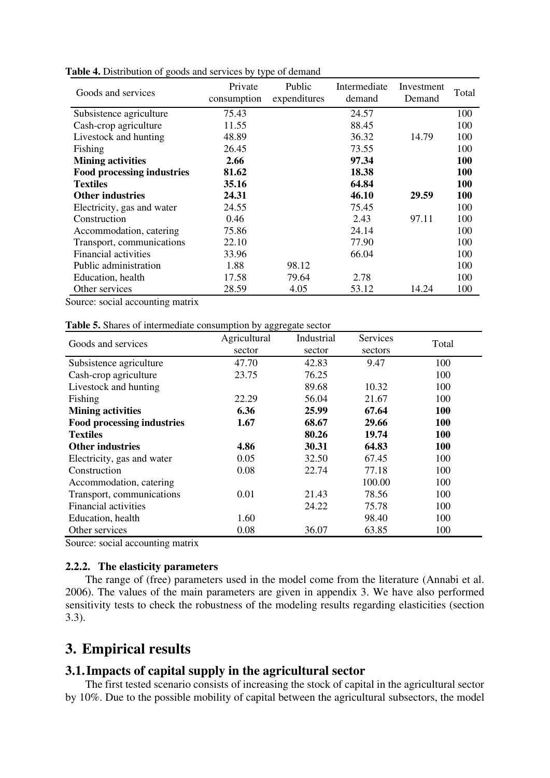| Goods and services          | Private<br>consumption | Public<br>expenditures | Intermediate<br>demand | Investment<br>Demand | Total      |
|-----------------------------|------------------------|------------------------|------------------------|----------------------|------------|
| Subsistence agriculture     | 75.43                  |                        | 24.57                  |                      | 100        |
| Cash-crop agriculture       | 11.55                  |                        | 88.45                  |                      | 100        |
| Livestock and hunting       | 48.89                  |                        | 36.32                  | 14.79                | 100        |
| Fishing                     | 26.45                  |                        | 73.55                  |                      | 100        |
| <b>Mining activities</b>    | 2.66                   |                        | 97.34                  |                      | <b>100</b> |
| Food processing industries  | 81.62                  |                        | 18.38                  |                      | 100        |
| <b>Textiles</b>             | 35.16                  |                        | 64.84                  |                      | 100        |
| <b>Other industries</b>     | 24.31                  |                        | 46.10                  | 29.59                | 100        |
| Electricity, gas and water  | 24.55                  |                        | 75.45                  |                      | 100        |
| Construction                | 0.46                   |                        | 2.43                   | 97.11                | 100        |
| Accommodation, catering     | 75.86                  |                        | 24.14                  |                      | 100        |
| Transport, communications   | 22.10                  |                        | 77.90                  |                      | 100        |
| <b>Financial activities</b> | 33.96                  |                        | 66.04                  |                      | 100        |
| Public administration       | 1.88                   | 98.12                  |                        |                      | 100        |
| Education, health           | 17.58                  | 79.64                  | 2.78                   |                      | 100        |
| Other services              | 28.59                  | 4.05                   | 53.12                  | 14.24                | 100        |

**Table 4.** Distribution of goods and services by type of demand

Source: social accounting matrix

| Table 5. Shares of intermediate consumption by aggregate sector |  |
|-----------------------------------------------------------------|--|
|-----------------------------------------------------------------|--|

| Goods and services                | Agricultural | Industrial | Services | Total      |
|-----------------------------------|--------------|------------|----------|------------|
|                                   | sector       | sector     | sectors  |            |
| Subsistence agriculture           | 47.70        | 42.83      | 9.47     | 100        |
| Cash-crop agriculture             | 23.75        | 76.25      |          | 100        |
| Livestock and hunting             |              | 89.68      | 10.32    | 100        |
| Fishing                           | 22.29        | 56.04      | 21.67    | 100        |
| <b>Mining activities</b>          | 6.36         | 25.99      | 67.64    | <b>100</b> |
| <b>Food processing industries</b> | 1.67         | 68.67      | 29.66    | 100        |
| <b>Textiles</b>                   |              | 80.26      | 19.74    | 100        |
| <b>Other industries</b>           | 4.86         | 30.31      | 64.83    | 100        |
| Electricity, gas and water        | 0.05         | 32.50      | 67.45    | 100        |
| Construction                      | 0.08         | 22.74      | 77.18    | 100        |
| Accommodation, catering           |              |            | 100.00   | 100        |
| Transport, communications         | 0.01         | 21.43      | 78.56    | 100        |
| Financial activities              |              | 24.22      | 75.78    | 100        |
| Education, health                 | 1.60         |            | 98.40    | 100        |
| Other services                    | 0.08         | 36.07      | 63.85    | 100        |

Source: social accounting matrix

#### **2.2.2. The elasticity parameters**

The range of (free) parameters used in the model come from the literature (Annabi et al. 2006). The values of the main parameters are given in appendix 3. We have also performed sensitivity tests to check the robustness of the modeling results regarding elasticities (section 3.3).

## **3. Empirical results**

### **3.1.Impacts of capital supply in the agricultural sector**

The first tested scenario consists of increasing the stock of capital in the agricultural sector by 10%. Due to the possible mobility of capital between the agricultural subsectors, the model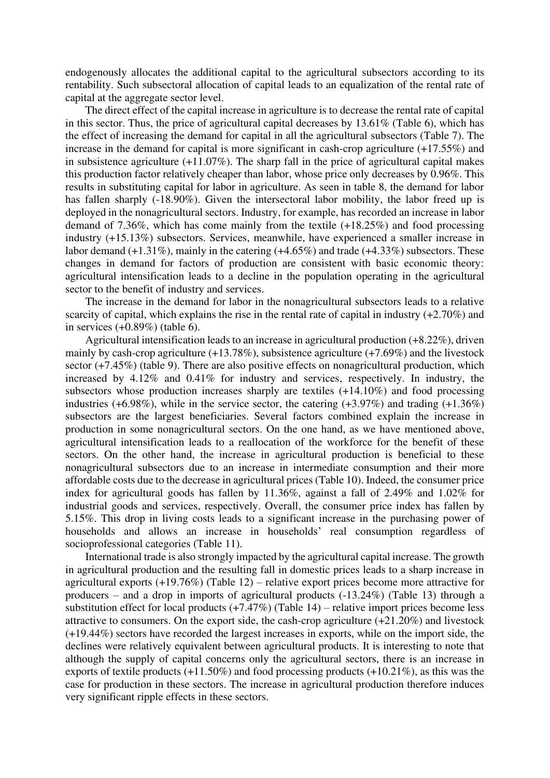endogenously allocates the additional capital to the agricultural subsectors according to its rentability. Such subsectoral allocation of capital leads to an equalization of the rental rate of capital at the aggregate sector level.

The direct effect of the capital increase in agriculture is to decrease the rental rate of capital in this sector. Thus, the price of agricultural capital decreases by 13.61% (Table 6), which has the effect of increasing the demand for capital in all the agricultural subsectors (Table 7). The increase in the demand for capital is more significant in cash-crop agriculture (+17.55%) and in subsistence agriculture  $(+11.07\%)$ . The sharp fall in the price of agricultural capital makes this production factor relatively cheaper than labor, whose price only decreases by 0.96%. This results in substituting capital for labor in agriculture. As seen in table 8, the demand for labor has fallen sharply (-18.90%). Given the intersectoral labor mobility, the labor freed up is deployed in the nonagricultural sectors. Industry, for example, has recorded an increase in labor demand of 7.36%, which has come mainly from the textile (+18.25%) and food processing industry (+15.13%) subsectors. Services, meanwhile, have experienced a smaller increase in labor demand (+1.31%), mainly in the catering (+4.65%) and trade (+4.33%) subsectors. These changes in demand for factors of production are consistent with basic economic theory: agricultural intensification leads to a decline in the population operating in the agricultural sector to the benefit of industry and services.

The increase in the demand for labor in the nonagricultural subsectors leads to a relative scarcity of capital, which explains the rise in the rental rate of capital in industry (+2.70%) and in services (+0.89%) (table 6).

Agricultural intensification leads to an increase in agricultural production (+8.22%), driven mainly by cash-crop agriculture (+13.78%), subsistence agriculture (+7.69%) and the livestock sector (+7.45%) (table 9). There are also positive effects on nonagricultural production, which increased by 4.12% and 0.41% for industry and services, respectively. In industry, the subsectors whose production increases sharply are textiles (+14.10%) and food processing industries  $(+6.98\%)$ , while in the service sector, the catering  $(+3.97\%)$  and trading  $(+1.36\%)$ subsectors are the largest beneficiaries. Several factors combined explain the increase in production in some nonagricultural sectors. On the one hand, as we have mentioned above, agricultural intensification leads to a reallocation of the workforce for the benefit of these sectors. On the other hand, the increase in agricultural production is beneficial to these nonagricultural subsectors due to an increase in intermediate consumption and their more affordable costs due to the decrease in agricultural prices (Table 10). Indeed, the consumer price index for agricultural goods has fallen by 11.36%, against a fall of 2.49% and 1.02% for industrial goods and services, respectively. Overall, the consumer price index has fallen by 5.15%. This drop in living costs leads to a significant increase in the purchasing power of households and allows an increase in households' real consumption regardless of socioprofessional categories (Table 11).

International trade is also strongly impacted by the agricultural capital increase. The growth in agricultural production and the resulting fall in domestic prices leads to a sharp increase in agricultural exports  $(+19.76%)$  (Table 12) – relative export prices become more attractive for producers – and a drop in imports of agricultural products (-13.24%) (Table 13) through a substitution effect for local products  $(+7.47%)$  (Table 14) – relative import prices become less attractive to consumers. On the export side, the cash-crop agriculture (+21.20%) and livestock (+19.44%) sectors have recorded the largest increases in exports, while on the import side, the declines were relatively equivalent between agricultural products. It is interesting to note that although the supply of capital concerns only the agricultural sectors, there is an increase in exports of textile products (+11.50%) and food processing products (+10.21%), as this was the case for production in these sectors. The increase in agricultural production therefore induces very significant ripple effects in these sectors.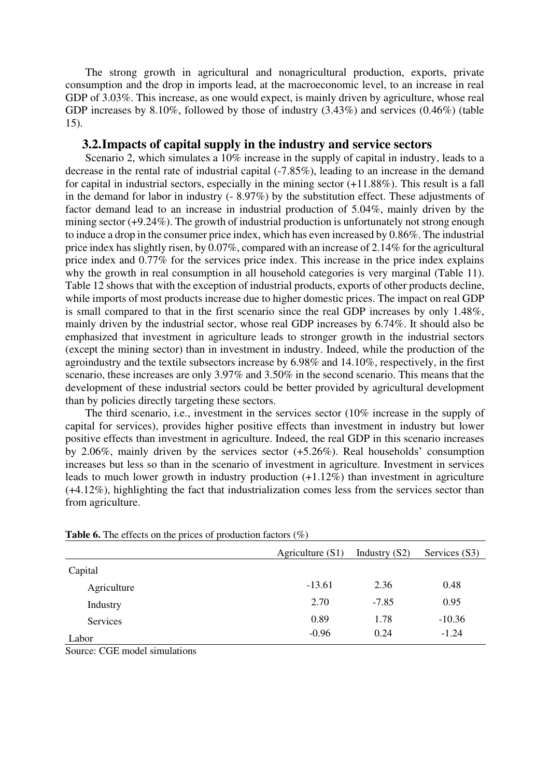The strong growth in agricultural and nonagricultural production, exports, private consumption and the drop in imports lead, at the macroeconomic level, to an increase in real GDP of 3.03%. This increase, as one would expect, is mainly driven by agriculture, whose real GDP increases by 8.10%, followed by those of industry (3.43%) and services (0.46%) (table 15).

#### **3.2.Impacts of capital supply in the industry and service sectors**

Scenario 2, which simulates a 10% increase in the supply of capital in industry, leads to a decrease in the rental rate of industrial capital (-7.85%), leading to an increase in the demand for capital in industrial sectors, especially in the mining sector (+11.88%). This result is a fall in the demand for labor in industry (- 8.97%) by the substitution effect. These adjustments of factor demand lead to an increase in industrial production of 5.04%, mainly driven by the mining sector (+9.24%). The growth of industrial production is unfortunately not strong enough to induce a drop in the consumer price index, which has even increased by 0.86%. The industrial price index has slightly risen, by 0.07%, compared with an increase of 2.14% for the agricultural price index and 0.77% for the services price index. This increase in the price index explains why the growth in real consumption in all household categories is very marginal (Table 11). Table 12 shows that with the exception of industrial products, exports of other products decline, while imports of most products increase due to higher domestic prices. The impact on real GDP is small compared to that in the first scenario since the real GDP increases by only 1.48%, mainly driven by the industrial sector, whose real GDP increases by 6.74%. It should also be emphasized that investment in agriculture leads to stronger growth in the industrial sectors (except the mining sector) than in investment in industry. Indeed, while the production of the agroindustry and the textile subsectors increase by 6.98% and 14.10%, respectively, in the first scenario, these increases are only 3.97% and 3.50% in the second scenario. This means that the development of these industrial sectors could be better provided by agricultural development than by policies directly targeting these sectors.

The third scenario, i.e., investment in the services sector (10% increase in the supply of capital for services), provides higher positive effects than investment in industry but lower positive effects than investment in agriculture. Indeed, the real GDP in this scenario increases by 2.06%, mainly driven by the services sector (+5.26%). Real households' consumption increases but less so than in the scenario of investment in agriculture. Investment in services leads to much lower growth in industry production (+1.12%) than investment in agriculture (+4.12%), highlighting the fact that industrialization comes less from the services sector than from agriculture.

|             | Agriculture $(S1)$ | Industry $(S2)$ | Services (S3) |
|-------------|--------------------|-----------------|---------------|
| Capital     |                    |                 |               |
| Agriculture | $-13.61$           | 2.36            | 0.48          |
| Industry    | 2.70               | $-7.85$         | 0.95          |
| Services    | 0.89               | 1.78            | $-10.36$      |
| Labor       | $-0.96$            | 0.24            | $-1.24$       |

**Table 6.** The effects on the prices of production factors (%)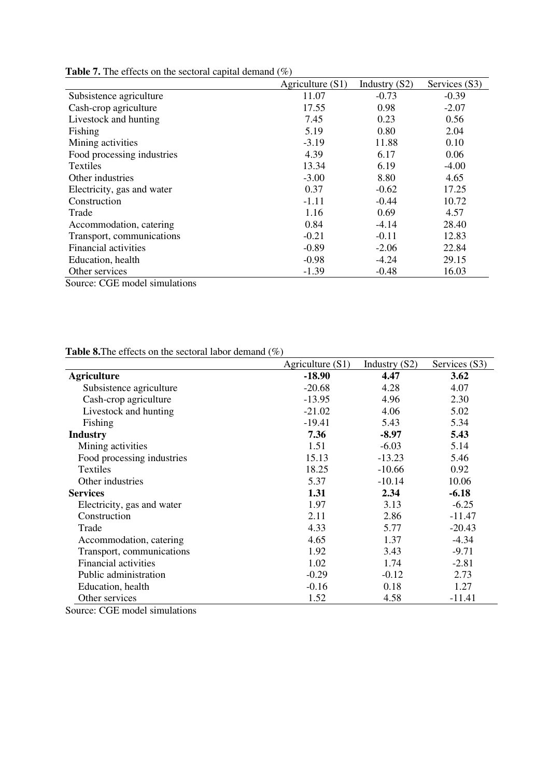|                            | Agriculture $(S1)$ | Industry $(S2)$ | Services (S3) |
|----------------------------|--------------------|-----------------|---------------|
| Subsistence agriculture    | 11.07              | $-0.73$         | $-0.39$       |
| Cash-crop agriculture      | 17.55              | 0.98            | $-2.07$       |
| Livestock and hunting      | 7.45               | 0.23            | 0.56          |
| Fishing                    | 5.19               | 0.80            | 2.04          |
| Mining activities          | $-3.19$            | 11.88           | 0.10          |
| Food processing industries | 4.39               | 6.17            | 0.06          |
| Textiles                   | 13.34              | 6.19            | $-4.00$       |
| Other industries           | $-3.00$            | 8.80            | 4.65          |
| Electricity, gas and water | 0.37               | $-0.62$         | 17.25         |
| Construction               | $-1.11$            | $-0.44$         | 10.72         |
| Trade                      | 1.16               | 0.69            | 4.57          |
| Accommodation, catering    | 0.84               | $-4.14$         | 28.40         |
| Transport, communications  | $-0.21$            | $-0.11$         | 12.83         |
| Financial activities       | $-0.89$            | $-2.06$         | 22.84         |
| Education, health          | $-0.98$            | $-4.24$         | 29.15         |
| Other services             | $-1.39$            | $-0.48$         | 16.03         |

**Table 7.** The effects on the sectoral capital demand (%)

Source: CGE model simulations

**Table 8.**The effects on the sectoral labor demand (%)

|                             | Agriculture $(S1)$ | Industry $(S2)$ | Services (S3) |
|-----------------------------|--------------------|-----------------|---------------|
| <b>Agriculture</b>          | $-18.90$           | 4.47            | 3.62          |
| Subsistence agriculture     | $-20.68$           | 4.28            | 4.07          |
| Cash-crop agriculture       | $-13.95$           | 4.96            | 2.30          |
| Livestock and hunting       | $-21.02$           | 4.06            | 5.02          |
| Fishing                     | $-19.41$           | 5.43            | 5.34          |
| <b>Industry</b>             | 7.36               | $-8.97$         | 5.43          |
| Mining activities           | 1.51               | $-6.03$         | 5.14          |
| Food processing industries  | 15.13              | $-13.23$        | 5.46          |
| Textiles                    | 18.25              | $-10.66$        | 0.92          |
| Other industries            | 5.37               | $-10.14$        | 10.06         |
| <b>Services</b>             | 1.31               | 2.34            | $-6.18$       |
| Electricity, gas and water  | 1.97               | 3.13            | $-6.25$       |
| Construction                | 2.11               | 2.86            | $-11.47$      |
| Trade                       | 4.33               | 5.77            | $-20.43$      |
| Accommodation, catering     | 4.65               | 1.37            | $-4.34$       |
| Transport, communications   | 1.92               | 3.43            | $-9.71$       |
| <b>Financial activities</b> | 1.02               | 1.74            | $-2.81$       |
| Public administration       | $-0.29$            | $-0.12$         | 2.73          |
| Education, health           | $-0.16$            | 0.18            | 1.27          |
| Other services              | 1.52               | 4.58            | $-11.41$      |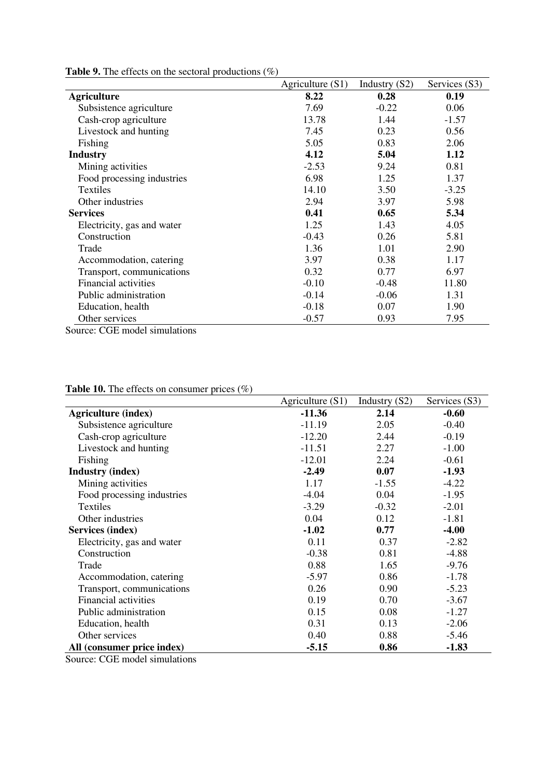|                                                                                                     | Agriculture $(S1)$ | Industry $(S2)$ | Services (S3) |
|-----------------------------------------------------------------------------------------------------|--------------------|-----------------|---------------|
| <b>Agriculture</b>                                                                                  | 8.22               | 0.28            | 0.19          |
| Subsistence agriculture                                                                             | 7.69               | $-0.22$         | 0.06          |
| Cash-crop agriculture                                                                               | 13.78              | 1.44            | $-1.57$       |
| Livestock and hunting                                                                               | 7.45               | 0.23            | 0.56          |
| Fishing                                                                                             | 5.05               | 0.83            | 2.06          |
| <b>Industry</b>                                                                                     | 4.12               | 5.04            | 1.12          |
| Mining activities                                                                                   | $-2.53$            | 9.24            | 0.81          |
| Food processing industries                                                                          | 6.98               | 1.25            | 1.37          |
| Textiles                                                                                            | 14.10              | 3.50            | $-3.25$       |
| Other industries                                                                                    | 2.94               | 3.97            | 5.98          |
| <b>Services</b>                                                                                     | 0.41               | 0.65            | 5.34          |
| Electricity, gas and water                                                                          | 1.25               | 1.43            | 4.05          |
| Construction                                                                                        | $-0.43$            | 0.26            | 5.81          |
| Trade                                                                                               | 1.36               | 1.01            | 2.90          |
| Accommodation, catering                                                                             | 3.97               | 0.38            | 1.17          |
| Transport, communications                                                                           | 0.32               | 0.77            | 6.97          |
| <b>Financial activities</b>                                                                         | $-0.10$            | $-0.48$         | 11.80         |
| Public administration                                                                               | $-0.14$            | $-0.06$         | 1.31          |
| Education, health                                                                                   | $-0.18$            | 0.07            | 1.90          |
| Other services<br>$\cdots$<br>$\sim$ 1.000 $\sim$ 1.000 $\sim$ 1.000 $\sim$<br>$\sim$ $\sim$ $\sim$ | $-0.57$            | 0.93            | 7.95          |

**Table 9.** The effects on the sectoral productions (%)

Source: CGE model simulations

#### **Table 10.** The effects on consumer prices (%)

|                            | Agriculture $(S1)$ | Industry $(S2)$ | Services (S3) |
|----------------------------|--------------------|-----------------|---------------|
| <b>Agriculture (index)</b> | $-11.36$           | 2.14            | $-0.60$       |
| Subsistence agriculture    | $-11.19$           | 2.05            | $-0.40$       |
| Cash-crop agriculture      | $-12.20$           | 2.44            | $-0.19$       |
| Livestock and hunting      | $-11.51$           | 2.27            | $-1.00$       |
| Fishing                    | $-12.01$           | 2.24            | $-0.61$       |
| <b>Industry (index)</b>    | $-2.49$            | 0.07            | $-1.93$       |
| Mining activities          | 1.17               | $-1.55$         | $-4.22$       |
| Food processing industries | $-4.04$            | 0.04            | $-1.95$       |
| <b>Textiles</b>            | $-3.29$            | $-0.32$         | $-2.01$       |
| Other industries           | 0.04               | 0.12            | $-1.81$       |
| Services (index)           | $-1.02$            | 0.77            | $-4.00$       |
| Electricity, gas and water | 0.11               | 0.37            | $-2.82$       |
| Construction               | $-0.38$            | 0.81            | $-4.88$       |
| Trade                      | 0.88               | 1.65            | $-9.76$       |
| Accommodation, catering    | $-5.97$            | 0.86            | $-1.78$       |
| Transport, communications  | 0.26               | 0.90            | $-5.23$       |
| Financial activities       | 0.19               | 0.70            | $-3.67$       |
| Public administration      | 0.15               | 0.08            | $-1.27$       |
| Education, health          | 0.31               | 0.13            | $-2.06$       |
| Other services             | 0.40               | 0.88            | $-5.46$       |
| All (consumer price index) | $-5.15$            | 0.86            | $-1.83$       |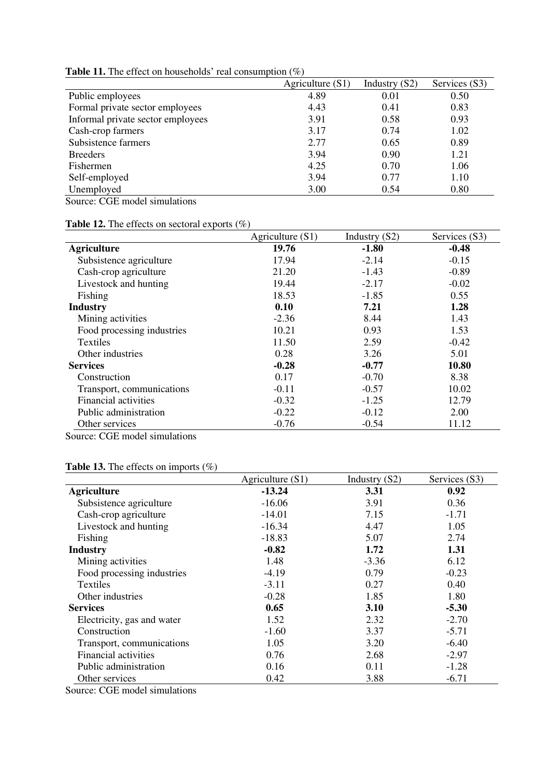|                                   | Agriculture $(S1)$ | Industry $(S2)$ | Services (S3) |
|-----------------------------------|--------------------|-----------------|---------------|
| Public employees                  | 4.89               | 0.01            | 0.50          |
| Formal private sector employees   | 4.43               | 0.41            | 0.83          |
| Informal private sector employees | 3.91               | 0.58            | 0.93          |
| Cash-crop farmers                 | 3.17               | 0.74            | 1.02          |
| Subsistence farmers               | 2.77               | 0.65            | 0.89          |
| <b>Breeders</b>                   | 3.94               | 0.90            | 1.21          |
| Fishermen                         | 4.25               | 0.70            | 1.06          |
| Self-employed                     | 3.94               | 0.77            | 1.10          |
| Unemployed                        | 3.00               | 0.54            | 0.80          |
|                                   |                    |                 |               |

**Table 11.** The effect on households' real consumption (%)

Source: CGE model simulations

| <b>Table 12.</b> The effects on sectoral exports $(\%)$ |  |
|---------------------------------------------------------|--|
|---------------------------------------------------------|--|

|                             | Agriculture $(S1)$ | Industry (S2) | Services (S3) |
|-----------------------------|--------------------|---------------|---------------|
| <b>Agriculture</b>          | 19.76              | $-1.80$       | $-0.48$       |
| Subsistence agriculture     | 17.94              | $-2.14$       | $-0.15$       |
| Cash-crop agriculture       | 21.20              | $-1.43$       | $-0.89$       |
| Livestock and hunting       | 19.44              | $-2.17$       | $-0.02$       |
| Fishing                     | 18.53              | $-1.85$       | 0.55          |
| <b>Industry</b>             | 0.10               | 7.21          | 1.28          |
| Mining activities           | $-2.36$            | 8.44          | 1.43          |
| Food processing industries  | 10.21              | 0.93          | 1.53          |
| <b>Textiles</b>             | 11.50              | 2.59          | $-0.42$       |
| Other industries            | 0.28               | 3.26          | 5.01          |
| <b>Services</b>             | $-0.28$            | $-0.77$       | 10.80         |
| Construction                | 0.17               | $-0.70$       | 8.38          |
| Transport, communications   | $-0.11$            | $-0.57$       | 10.02         |
| <b>Financial activities</b> | $-0.32$            | $-1.25$       | 12.79         |
| Public administration       | $-0.22$            | $-0.12$       | 2.00          |
| Other services              | $-0.76$            | $-0.54$       | 11.12         |

Source: CGE model simulations

|                            | Agriculture $(S1)$ | Industry $(S2)$ | Services (S3) |
|----------------------------|--------------------|-----------------|---------------|
| <b>Agriculture</b>         | $-13.24$           | 3.31            | 0.92          |
| Subsistence agriculture    | $-16.06$           | 3.91            | 0.36          |
| Cash-crop agriculture      | $-14.01$           | 7.15            | $-1.71$       |
| Livestock and hunting      | $-16.34$           | 4.47            | 1.05          |
| Fishing                    | $-18.83$           | 5.07            | 2.74          |
| <b>Industry</b>            | $-0.82$            | 1.72            | 1.31          |
| Mining activities          | 1.48               | $-3.36$         | 6.12          |
| Food processing industries | $-4.19$            | 0.79            | $-0.23$       |
| Textiles                   | $-3.11$            | 0.27            | 0.40          |
| Other industries           | $-0.28$            | 1.85            | 1.80          |
| <b>Services</b>            | 0.65               | 3.10            | $-5.30$       |
| Electricity, gas and water | 1.52               | 2.32            | $-2.70$       |
| Construction               | $-1.60$            | 3.37            | $-5.71$       |
| Transport, communications  | 1.05               | 3.20            | $-6.40$       |
| Financial activities       | 0.76               | 2.68            | $-2.97$       |
| Public administration      | 0.16               | 0.11            | $-1.28$       |
| Other services             | 0.42               | 3.88            | $-6.71$       |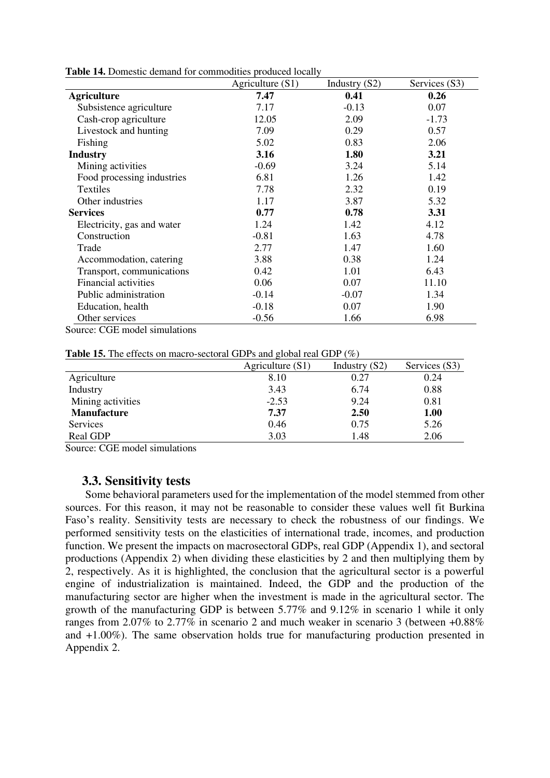|                             | Agriculture $(S1)$ | Industry $(S2)$ | Services (S3) |
|-----------------------------|--------------------|-----------------|---------------|
| <b>Agriculture</b>          | 7.47               | 0.41            | 0.26          |
| Subsistence agriculture     | 7.17               | $-0.13$         | 0.07          |
| Cash-crop agriculture       | 12.05              | 2.09            | $-1.73$       |
| Livestock and hunting       | 7.09               | 0.29            | 0.57          |
| Fishing                     | 5.02               | 0.83            | 2.06          |
| <b>Industry</b>             | 3.16               | 1.80            | 3.21          |
| Mining activities           | $-0.69$            | 3.24            | 5.14          |
| Food processing industries  | 6.81               | 1.26            | 1.42          |
| Textiles                    | 7.78               | 2.32            | 0.19          |
| Other industries            | 1.17               | 3.87            | 5.32          |
| <b>Services</b>             | 0.77               | 0.78            | 3.31          |
| Electricity, gas and water  | 1.24               | 1.42            | 4.12          |
| Construction                | $-0.81$            | 1.63            | 4.78          |
| Trade                       | 2.77               | 1.47            | 1.60          |
| Accommodation, catering     | 3.88               | 0.38            | 1.24          |
| Transport, communications   | 0.42               | 1.01            | 6.43          |
| <b>Financial activities</b> | 0.06               | 0.07            | 11.10         |
| Public administration       | $-0.14$            | $-0.07$         | 1.34          |
| Education, health           | $-0.18$            | 0.07            | 1.90          |
| Other services              | $-0.56$            | 1.66            | 6.98          |

**Table 14.** Domestic demand for commodities produced locally

Source: CGE model simulations

**Table 15.** The effects on macro-sectoral GDPs and global real GDP (%)

|                    | Agriculture $(S1)$ | Industry $(S2)$ | Services (S3) |
|--------------------|--------------------|-----------------|---------------|
| Agriculture        | 8.10               | 0.27            | 0.24          |
| Industry           | 3.43               | 6.74            | 0.88          |
| Mining activities  | $-2.53$            | 9.24            | 0.81          |
| <b>Manufacture</b> | 7.37               | 2.50            | 1.00          |
| <b>Services</b>    | 0.46               | 0.75            | 5.26          |
| Real GDP           | 3.03               | 1.48            | 2.06          |

Source: CGE model simulations

#### **3.3. Sensitivity tests**

Some behavioral parameters used for the implementation of the model stemmed from other sources. For this reason, it may not be reasonable to consider these values well fit Burkina Faso's reality. Sensitivity tests are necessary to check the robustness of our findings. We performed sensitivity tests on the elasticities of international trade, incomes, and production function. We present the impacts on macrosectoral GDPs, real GDP (Appendix 1), and sectoral productions (Appendix 2) when dividing these elasticities by 2 and then multiplying them by 2, respectively. As it is highlighted, the conclusion that the agricultural sector is a powerful engine of industrialization is maintained. Indeed, the GDP and the production of the manufacturing sector are higher when the investment is made in the agricultural sector. The growth of the manufacturing GDP is between 5.77% and 9.12% in scenario 1 while it only ranges from 2.07% to 2.77% in scenario 2 and much weaker in scenario 3 (between  $+0.88\%$ ) and +1.00%). The same observation holds true for manufacturing production presented in Appendix 2.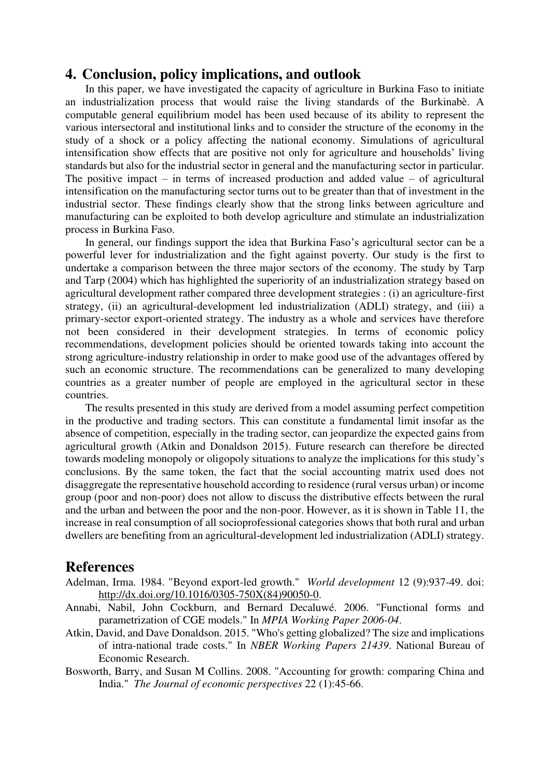## **4. Conclusion, policy implications, and outlook**

In this paper, we have investigated the capacity of agriculture in Burkina Faso to initiate an industrialization process that would raise the living standards of the Burkinabè. A computable general equilibrium model has been used because of its ability to represent the various intersectoral and institutional links and to consider the structure of the economy in the study of a shock or a policy affecting the national economy. Simulations of agricultural intensification show effects that are positive not only for agriculture and households' living standards but also for the industrial sector in general and the manufacturing sector in particular. The positive impact – in terms of increased production and added value – of agricultural intensification on the manufacturing sector turns out to be greater than that of investment in the industrial sector. These findings clearly show that the strong links between agriculture and manufacturing can be exploited to both develop agriculture and stimulate an industrialization process in Burkina Faso.

In general, our findings support the idea that Burkina Faso's agricultural sector can be a powerful lever for industrialization and the fight against poverty. Our study is the first to undertake a comparison between the three major sectors of the economy. The study by Tarp and Tarp (2004) which has highlighted the superiority of an industrialization strategy based on agricultural development rather compared three development strategies : (i) an agriculture-first strategy, (ii) an agricultural-development led industrialization (ADLI) strategy, and (iii) a primary-sector export-oriented strategy. The industry as a whole and services have therefore not been considered in their development strategies. In terms of economic policy recommendations, development policies should be oriented towards taking into account the strong agriculture-industry relationship in order to make good use of the advantages offered by such an economic structure. The recommendations can be generalized to many developing countries as a greater number of people are employed in the agricultural sector in these countries.

The results presented in this study are derived from a model assuming perfect competition in the productive and trading sectors. This can constitute a fundamental limit insofar as the absence of competition, especially in the trading sector, can jeopardize the expected gains from agricultural growth (Atkin and Donaldson 2015). Future research can therefore be directed towards modeling monopoly or oligopoly situations to analyze the implications for this study's conclusions. By the same token, the fact that the social accounting matrix used does not disaggregate the representative household according to residence (rural versus urban) or income group (poor and non-poor) does not allow to discuss the distributive effects between the rural and the urban and between the poor and the non-poor. However, as it is shown in Table 11, the increase in real consumption of all socioprofessional categories shows that both rural and urban dwellers are benefiting from an agricultural-development led industrialization (ADLI) strategy.

#### **References**

- Adelman, Irma. 1984. "Beyond export-led growth." *World development* 12 (9):937-49. doi: [http://dx.doi.org/10.1016/0305-750X\(84\)90050-0.](http://dx.doi.org/10.1016/0305-750X(84)90050-0)
- Annabi, Nabil, John Cockburn, and Bernard Decaluwé. 2006. "Functional forms and parametrization of CGE models." In *MPIA Working Paper 2006-04*.
- Atkin, David, and Dave Donaldson. 2015. "Who's getting globalized? The size and implications of intra-national trade costs." In *NBER Working Papers 21439*. National Bureau of Economic Research.
- Bosworth, Barry, and Susan M Collins. 2008. "Accounting for growth: comparing China and India." *The Journal of economic perspectives* 22 (1):45-66.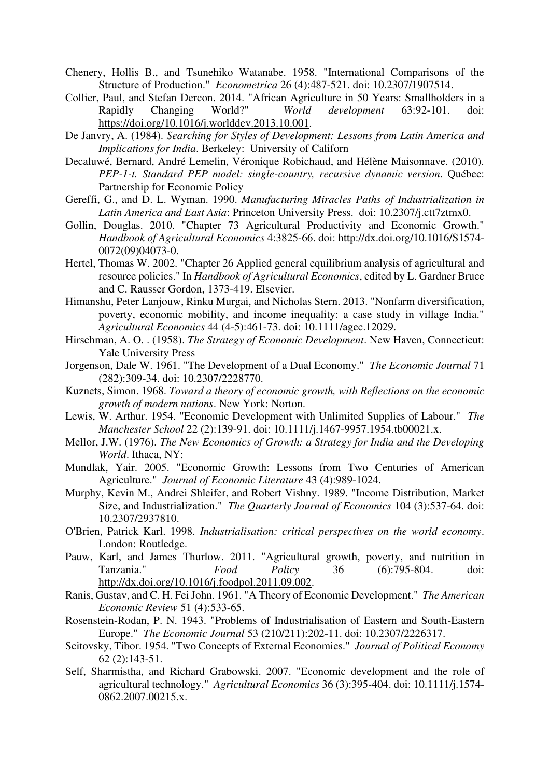- Chenery, Hollis B., and Tsunehiko Watanabe. 1958. "International Comparisons of the Structure of Production." *Econometrica* 26 (4):487-521. doi: 10.2307/1907514.
- Collier, Paul, and Stefan Dercon. 2014. "African Agriculture in 50 Years: Smallholders in a Rapidly Changing World?" *World development* 63:92-101. doi: [https://doi.org/10.1016/j.worlddev.2013.10.001.](https://doi.org/10.1016/j.worlddev.2013.10.001)
- De Janvry, A. (1984). *Searching for Styles of Development: Lessons from Latin America and Implications for India*. Berkeley: University of Californ
- Decaluwé, Bernard, André Lemelin, Véronique Robichaud, and Hélène Maisonnave. (2010). *PEP-1-t. Standard PEP model: single-country, recursive dynamic version*. Québec: Partnership for Economic Policy
- Gereffi, G., and D. L. Wyman. 1990. *Manufacturing Miracles Paths of Industrialization in Latin America and East Asia*: Princeton University Press. doi: 10.2307/j.ctt7ztmx0.
- Gollin, Douglas. 2010. "Chapter 73 Agricultural Productivity and Economic Growth." *Handbook of Agricultural Economics* 4:3825-66. doi: [http://dx.doi.org/10.1016/S1574-](http://dx.doi.org/10.1016/S1574-0072(09)04073-0) [0072\(09\)04073-0.](http://dx.doi.org/10.1016/S1574-0072(09)04073-0)
- Hertel, Thomas W. 2002. "Chapter 26 Applied general equilibrium analysis of agricultural and resource policies." In *Handbook of Agricultural Economics*, edited by L. Gardner Bruce and C. Rausser Gordon, 1373-419. Elsevier.
- Himanshu, Peter Lanjouw, Rinku Murgai, and Nicholas Stern. 2013. "Nonfarm diversification, poverty, economic mobility, and income inequality: a case study in village India." *Agricultural Economics* 44 (4-5):461-73. doi: 10.1111/agec.12029.
- Hirschman, A. O. . (1958). *The Strategy of Economic Development*. New Haven, Connecticut: Yale University Press
- Jorgenson, Dale W. 1961. "The Development of a Dual Economy." *The Economic Journal* 71 (282):309-34. doi: 10.2307/2228770.
- Kuznets, Simon. 1968. *Toward a theory of economic growth, with Reflections on the economic growth of modern nations*. New York: Norton.
- Lewis, W. Arthur. 1954. "Economic Development with Unlimited Supplies of Labour." *The Manchester School* 22 (2):139-91. doi: 10.1111/j.1467-9957.1954.tb00021.x.
- Mellor, J.W. (1976). *The New Economics of Growth: a Strategy for India and the Developing World*. Ithaca, NY:
- Mundlak, Yair. 2005. "Economic Growth: Lessons from Two Centuries of American Agriculture." *Journal of Economic Literature* 43 (4):989-1024.
- Murphy, Kevin M., Andrei Shleifer, and Robert Vishny. 1989. "Income Distribution, Market Size, and Industrialization." *The Quarterly Journal of Economics* 104 (3):537-64. doi: 10.2307/2937810.
- O'Brien, Patrick Karl. 1998. *Industrialisation: critical perspectives on the world economy*. London: Routledge.
- Pauw, Karl, and James Thurlow. 2011. "Agricultural growth, poverty, and nutrition in Tanzania." *Food Policy* 36 (6):795-804. doi: [http://dx.doi.org/10.1016/j.foodpol.2011.09.002.](http://dx.doi.org/10.1016/j.foodpol.2011.09.002)
- Ranis, Gustav, and C. H. Fei John. 1961. "A Theory of Economic Development." *The American Economic Review* 51 (4):533-65.
- Rosenstein-Rodan, P. N. 1943. "Problems of Industrialisation of Eastern and South-Eastern Europe." *The Economic Journal* 53 (210/211):202-11. doi: 10.2307/2226317.
- Scitovsky, Tibor. 1954. "Two Concepts of External Economies." *Journal of Political Economy* 62 (2):143-51.
- Self, Sharmistha, and Richard Grabowski. 2007. "Economic development and the role of agricultural technology." *Agricultural Economics* 36 (3):395-404. doi: 10.1111/j.1574- 0862.2007.00215.x.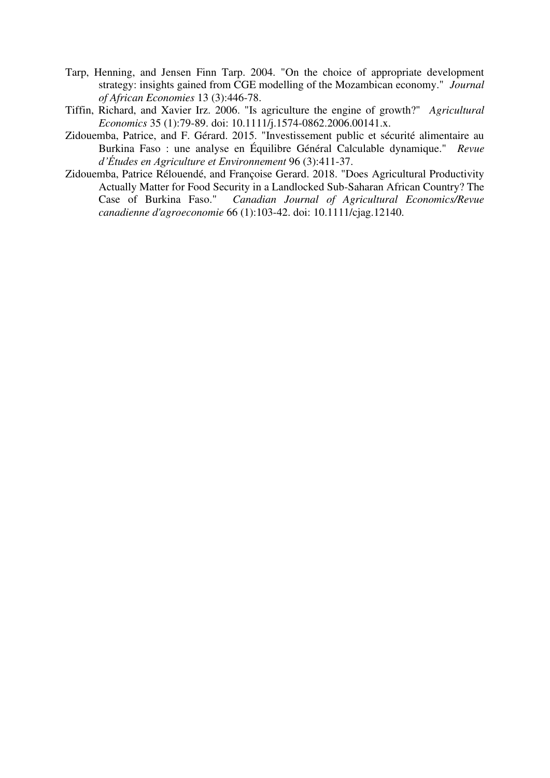- Tarp, Henning, and Jensen Finn Tarp. 2004. "On the choice of appropriate development strategy: insights gained from CGE modelling of the Mozambican economy." *Journal of African Economies* 13 (3):446-78.
- Tiffin, Richard, and Xavier Irz. 2006. "Is agriculture the engine of growth?" *Agricultural Economics* 35 (1):79-89. doi: 10.1111/j.1574-0862.2006.00141.x.
- Zidouemba, Patrice, and F. Gérard. 2015. "Investissement public et sécurité alimentaire au Burkina Faso : une analyse en Équilibre Général Calculable dynamique." *Revue d'Études en Agriculture et Environnement* 96 (3):411-37.
- Zidouemba, Patrice Rélouendé, and Françoise Gerard. 2018. "Does Agricultural Productivity Actually Matter for Food Security in a Landlocked Sub-Saharan African Country? The Case of Burkina Faso." Canadian Journal of Agricultural Economics/Revue Canadian Journal of Agricultural Economics/Revue *canadienne d'agroeconomie* 66 (1):103-42. doi: 10.1111/cjag.12140.